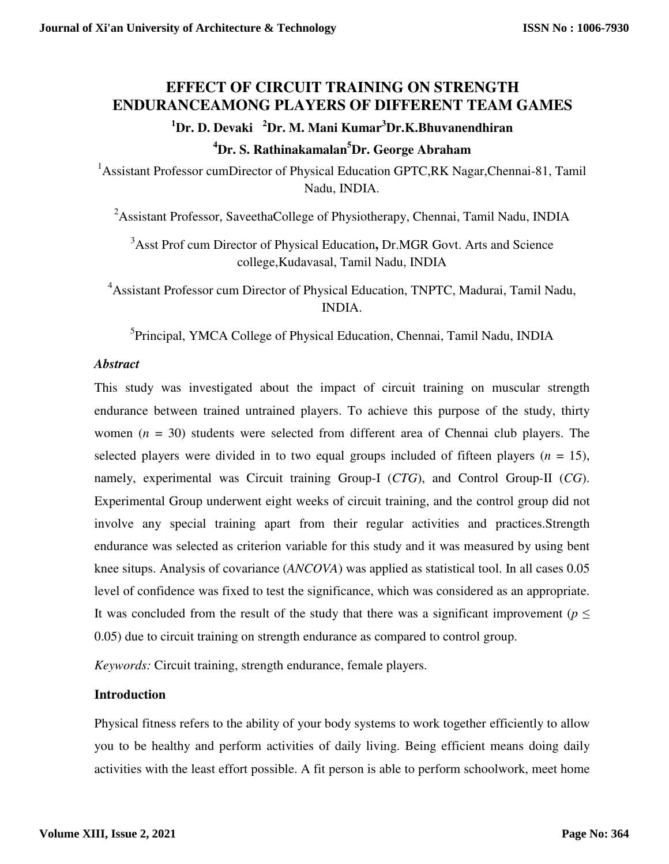# **EFFECT OF CIRCUIT TRAINING ON STRENGTH ENDURANCEAMONG PLAYERS OF DIFFERENT TEAM GAMES**

## **<sup>1</sup>Dr. D. Devaki <sup>2</sup>Dr. M. Mani Kumar<sup>3</sup>Dr.K.Bhuvanendhiran <sup>4</sup>Dr. S. Rathinakamalan<sup>5</sup>Dr. George Abraham**

<sup>1</sup>Assistant Professor cumDirector of Physical Education GPTC,RK Nagar,Chennai-81, Tamil Nadu, INDIA.

<sup>2</sup>Assistant Professor, SaveethaCollege of Physiotherapy, Chennai, Tamil Nadu, INDIA

<sup>3</sup>Asst Prof cum Director of Physical Education**,** Dr.MGR Govt. Arts and Science college,Kudavasal, Tamil Nadu, INDIA

<sup>4</sup>Assistant Professor cum Director of Physical Education, TNPTC, Madurai, Tamil Nadu, INDIA.

<sup>5</sup>Principal, YMCA College of Physical Education, Chennai, Tamil Nadu, INDIA

### *Abstract*

This study was investigated about the impact of circuit training on muscular strength endurance between trained untrained players. To achieve this purpose of the study, thirty women (*n* = 30) students were selected from different area of Chennai club players. The selected players were divided in to two equal groups included of fifteen players  $(n = 15)$ , namely, experimental was Circuit training Group-I (*CTG*), and Control Group-II (*CG*). Experimental Group underwent eight weeks of circuit training, and the control group did not involve any special training apart from their regular activities and practices.Strength endurance was selected as criterion variable for this study and it was measured by using bent knee situps. Analysis of covariance (*ANCOVA*) was applied as statistical tool. In all cases 0.05 level of confidence was fixed to test the significance, which was considered as an appropriate. It was concluded from the result of the study that there was a significant improvement ( $p \leq$ 0.05) due to circuit training on strength endurance as compared to control group.

*Keywords:* Circuit training, strength endurance, female players.

## **Introduction**

Physical fitness refers to the ability of your body systems to work together efficiently to allow you to be healthy and perform activities of daily living. Being efficient means doing daily activities with the least effort possible. A fit person is able to perform schoolwork, meet home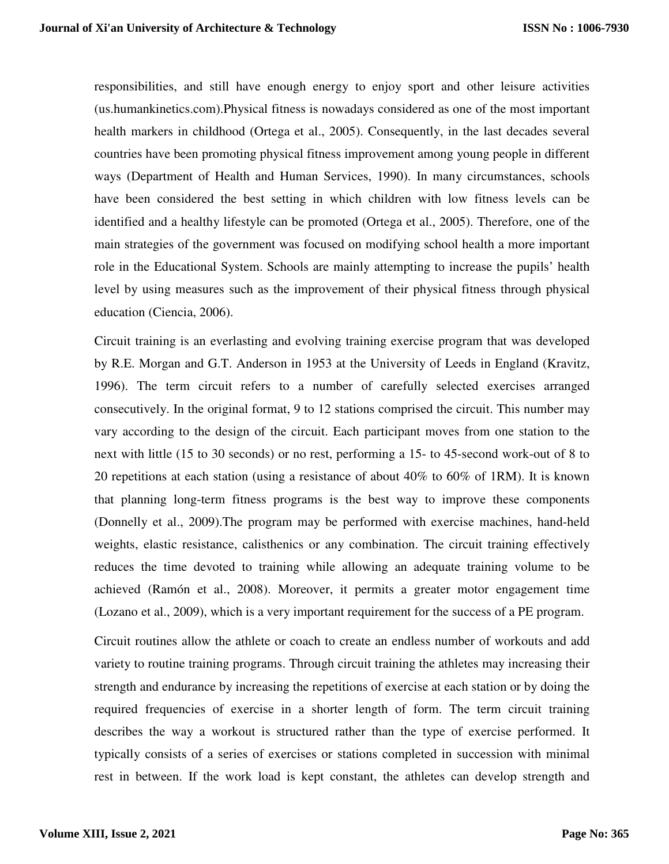responsibilities, and still have enough energy to enjoy sport and other leisure activities (us.humankinetics.com).Physical fitness is nowadays considered as one of the most important health markers in childhood (Ortega et al., 2005). Consequently, in the last decades several countries have been promoting physical fitness improvement among young people in different ways (Department of Health and Human Services, 1990). In many circumstances, schools have been considered the best setting in which children with low fitness levels can be identified and a healthy lifestyle can be promoted (Ortega et al., 2005). Therefore, one of the main strategies of the government was focused on modifying school health a more important role in the Educational System. Schools are mainly attempting to increase the pupils' health level by using measures such as the improvement of their physical fitness through physical education (Ciencia, 2006).

Circuit training is an everlasting and evolving training exercise program that was developed by R.E. Morgan and G.T. Anderson in 1953 at the University of Leeds in England (Kravitz, 1996). The term circuit refers to a number of carefully selected exercises arranged consecutively. In the original format, 9 to 12 stations comprised the circuit. This number may vary according to the design of the circuit. Each participant moves from one station to the next with little (15 to 30 seconds) or no rest, performing a 15- to 45-second work-out of 8 to 20 repetitions at each station (using a resistance of about 40% to 60% of 1RM). It is known that planning long-term fitness programs is the best way to improve these components (Donnelly et al., 2009).The program may be performed with exercise machines, hand-held weights, elastic resistance, calisthenics or any combination. The circuit training effectively reduces the time devoted to training while allowing an adequate training volume to be achieved (Ramón et al., 2008). Moreover, it permits a greater motor engagement time (Lozano et al., 2009), which is a very important requirement for the success of a PE program.

Circuit routines allow the athlete or coach to create an endless number of workouts and add variety to routine training programs. Through circuit training the athletes may increasing their strength and endurance by increasing the repetitions of exercise at each station or by doing the required frequencies of exercise in a shorter length of form. The term circuit training describes the way a workout is structured rather than the type of exercise performed. It typically consists of a series of exercises or stations completed in succession with minimal rest in between. If the work load is kept constant, the athletes can develop strength and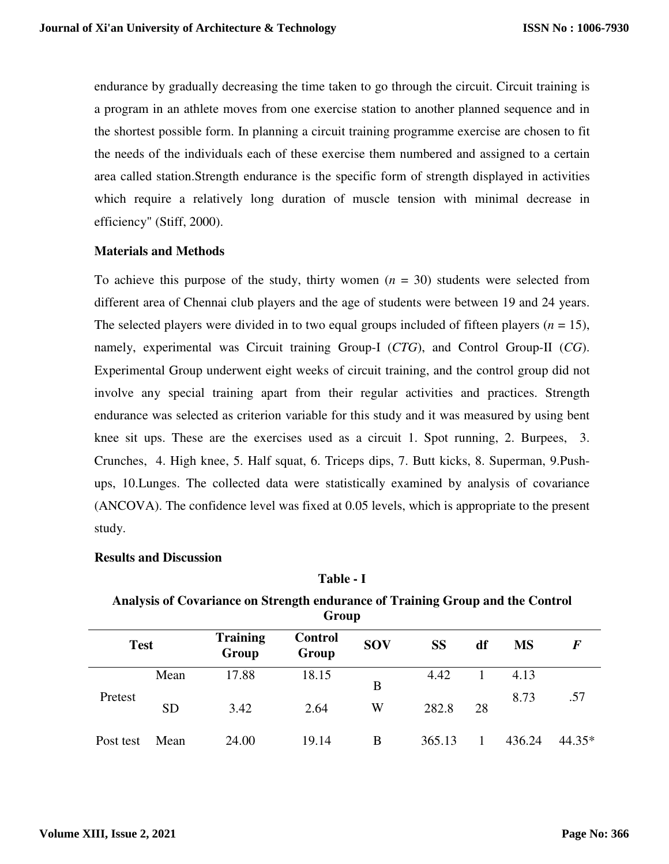endurance by gradually decreasing the time taken to go through the circuit. Circuit training is a program in an athlete moves from one exercise station to another planned sequence and in the shortest possible form. In planning a circuit training programme exercise are chosen to fit the needs of the individuals each of these exercise them numbered and assigned to a certain area called station.Strength endurance is the specific form of strength displayed in activities which require a relatively long duration of muscle tension with minimal decrease in efficiency" (Stiff, 2000).

#### **Materials and Methods**

To achieve this purpose of the study, thirty women  $(n = 30)$  students were selected from different area of Chennai club players and the age of students were between 19 and 24 years. The selected players were divided in to two equal groups included of fifteen players  $(n = 15)$ , namely, experimental was Circuit training Group-I (*CTG*), and Control Group-II (*CG*). Experimental Group underwent eight weeks of circuit training, and the control group did not involve any special training apart from their regular activities and practices. Strength endurance was selected as criterion variable for this study and it was measured by using bent knee sit ups. These are the exercises used as a circuit 1. Spot running, 2. Burpees, 3. Crunches, 4. High knee, 5. Half squat, 6. Triceps dips, 7. Butt kicks, 8. Superman, 9.Pushups, 10.Lunges. The collected data were statistically examined by analysis of covariance (ANCOVA). The confidence level was fixed at 0.05 levels, which is appropriate to the present study.

### **Results and Discussion**

#### **Analysis of Covariance on Strength endurance of Training Group and the Control Group**

| <b>Test</b> |           | <b>Training</b><br>Group | <b>Control</b><br>Group | <b>SOV</b> | <b>SS</b> | df | <b>MS</b> | F        |
|-------------|-----------|--------------------------|-------------------------|------------|-----------|----|-----------|----------|
| Pretest     | Mean      | 17.88                    | 18.15                   | B          | 4.42      |    | 4.13      |          |
|             | <b>SD</b> | 3.42                     | 2.64                    | W          | 282.8     | 28 | 8.73      | .57      |
| Post test   | Mean      | 24.00                    | 19.14                   | B          | 365.13    |    | 436.24    | $44.35*$ |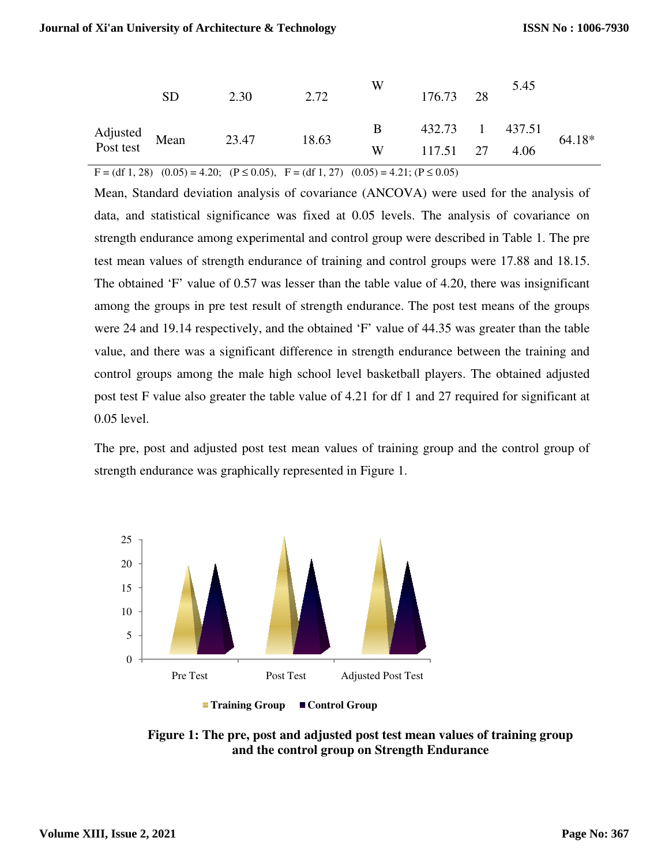|                            | SD | 2.30  | 2.72  | W | 176.73 28       | 5.45 |          |
|----------------------------|----|-------|-------|---|-----------------|------|----------|
| Adjusted<br>Post test Mean |    | 23.47 | 18.63 | B | 432.73 1 437.51 |      | $64.18*$ |
|                            |    |       |       | W | 117.51 27       | 4.06 |          |

 $F = (df 1, 28)$   $(0.05) = 4.20$ ;  $(P \le 0.05)$ ,  $F = (df 1, 27)$   $(0.05) = 4.21$ ;  $(P \le 0.05)$ 

Mean, Standard deviation analysis of covariance (ANCOVA) were used for the analysis of data, and statistical significance was fixed at 0.05 levels. The analysis of covariance on strength endurance among experimental and control group were described in Table 1. The pre test mean values of strength endurance of training and control groups were 17.88 and 18.15. The obtained 'F' value of  $0.57$  was lesser than the table value of  $4.20$ , there was insignificant among the groups in pre test result of strength endurance. The post test means of the groups were 24 and 19.14 respectively, and the obtained 'F' value of 44.35 was greater than the table value, and there was a significant difference in strength endurance between the training and control groups among the male high school level basketball players. The obtained adjusted post test F value also greater the table value of 4.21 for df 1 and 27 required for significant at 0.05 level. Mean, Standard deviation analysis of covariance (ANCOVA) were used for the analysis data, and statistical significance was fixed at 0.05 levels. The analysis of covariance strength endurance among experimental and control F.20, there was insignificant<br>st test means of the groups<br>5 was greater than the table<br>ce between the training and<br>vers. The obtained adjusted<br>7 required for significant at<br>up and the control group of

The pre, post and adjusted post test mean values of training group and the co strength endurance was graphically represented in Figure 1.





**Figure 1: The pre, post and adjusted post test mean values of training group**  pre, post and adjusted post test mean values of<br>and the control group on Strength Endurance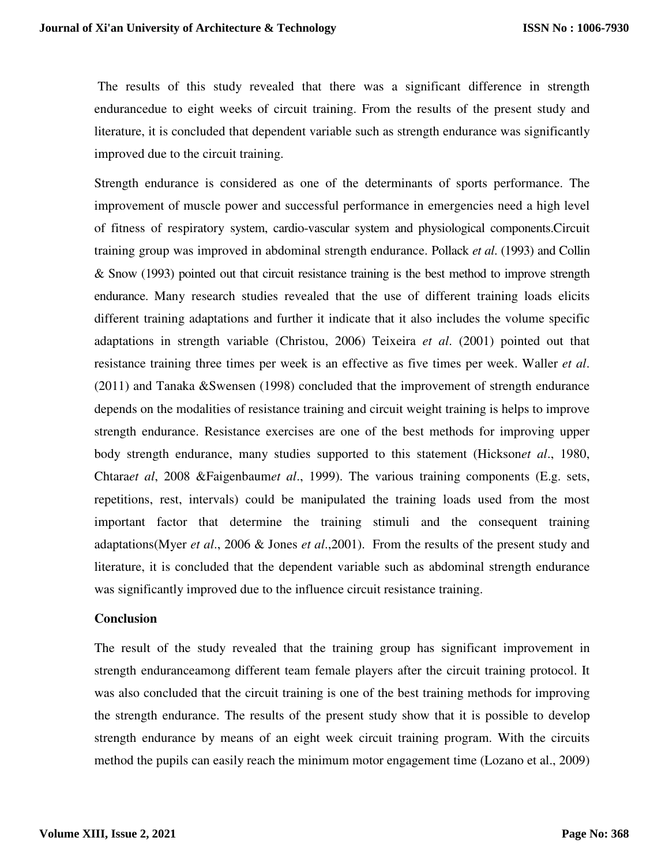The results of this study revealed that there was a significant difference in strength endurancedue to eight weeks of circuit training. From the results of the present study and literature, it is concluded that dependent variable such as strength endurance was significantly improved due to the circuit training.

Strength endurance is considered as one of the determinants of sports performance. The improvement of muscle power and successful performance in emergencies need a high level of fitness of respiratory system, cardio-vascular system and physiological components.Circuit training group was improved in abdominal strength endurance. Pollack *et al*. (1993) and Collin & Snow (1993) pointed out that circuit resistance training is the best method to improve strength endurance. Many research studies revealed that the use of different training loads elicits different training adaptations and further it indicate that it also includes the volume specific adaptations in strength variable (Christou, 2006) Teixeira *et al*. (2001) pointed out that resistance training three times per week is an effective as five times per week. Waller *et al*. (2011) and Tanaka &Swensen (1998) concluded that the improvement of strength endurance depends on the modalities of resistance training and circuit weight training is helps to improve strength endurance. Resistance exercises are one of the best methods for improving upper body strength endurance, many studies supported to this statement (Hickson*et al*., 1980, Chtara*et al*, 2008 &Faigenbaum*et al*., 1999). The various training components (E.g. sets, repetitions, rest, intervals) could be manipulated the training loads used from the most important factor that determine the training stimuli and the consequent training adaptations(Myer *et al*., 2006 & Jones *et al*.,2001). From the results of the present study and literature, it is concluded that the dependent variable such as abdominal strength endurance was significantly improved due to the influence circuit resistance training.

#### **Conclusion**

The result of the study revealed that the training group has significant improvement in strength enduranceamong different team female players after the circuit training protocol. It was also concluded that the circuit training is one of the best training methods for improving the strength endurance. The results of the present study show that it is possible to develop strength endurance by means of an eight week circuit training program. With the circuits method the pupils can easily reach the minimum motor engagement time (Lozano et al., 2009)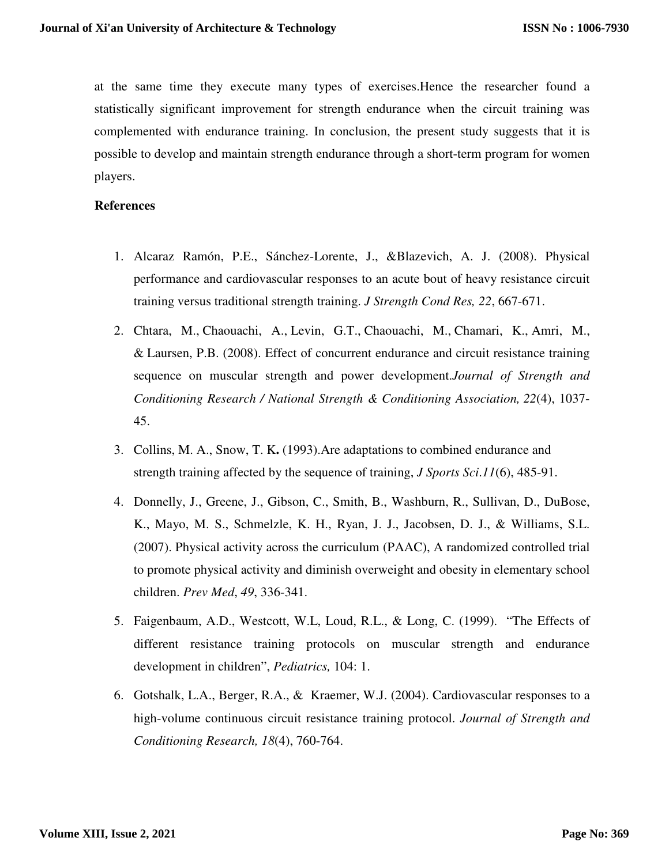at the same time they execute many types of exercises.Hence the researcher found a statistically significant improvement for strength endurance when the circuit training was complemented with endurance training. In conclusion, the present study suggests that it is possible to develop and maintain strength endurance through a short-term program for women players.

#### **References**

- 1. Alcaraz Ramón, P.E., Sánchez-Lorente, J., &Blazevich, A. J. (2008). Physical performance and cardiovascular responses to an acute bout of heavy resistance circuit training versus traditional strength training. *J Strength Cond Res, 22*, 667-671.
- 2. Chtara, M., Chaouachi, A., Levin, G.T., Chaouachi, M., Chamari, K., Amri, M., & Laursen, P.B. (2008). Effect of concurrent endurance and circuit resistance training sequence on muscular strength and power development.*Journal of Strength and Conditioning Research / National Strength & Conditioning Association, 22*(4), 1037- 45.
- 3. Collins, M. A., Snow, T. K**.** (1993).Are adaptations to combined endurance and strength training affected by the sequence of training, *J Sports Sci*.*11*(6), 485-91.
- 4. Donnelly, J., Greene, J., Gibson, C., Smith, B., Washburn, R., Sullivan, D., DuBose, K., Mayo, M. S., Schmelzle, K. H., Ryan, J. J., Jacobsen, D. J., & Williams, S.L. (2007). Physical activity across the curriculum (PAAC), A randomized controlled trial to promote physical activity and diminish overweight and obesity in elementary school children. *Prev Med*, *49*, 336-341.
- 5. Faigenbaum, A.D., Westcott, W.L, Loud, R.L., & Long, C. (1999). "The Effects of different resistance training protocols on muscular strength and endurance development in children", *Pediatrics,* 104: 1.
- 6. Gotshalk, L.A., Berger, R.A., & Kraemer, W.J. (2004). Cardiovascular responses to a high-volume continuous circuit resistance training protocol. *Journal of Strength and Conditioning Research, 18*(4), 760-764.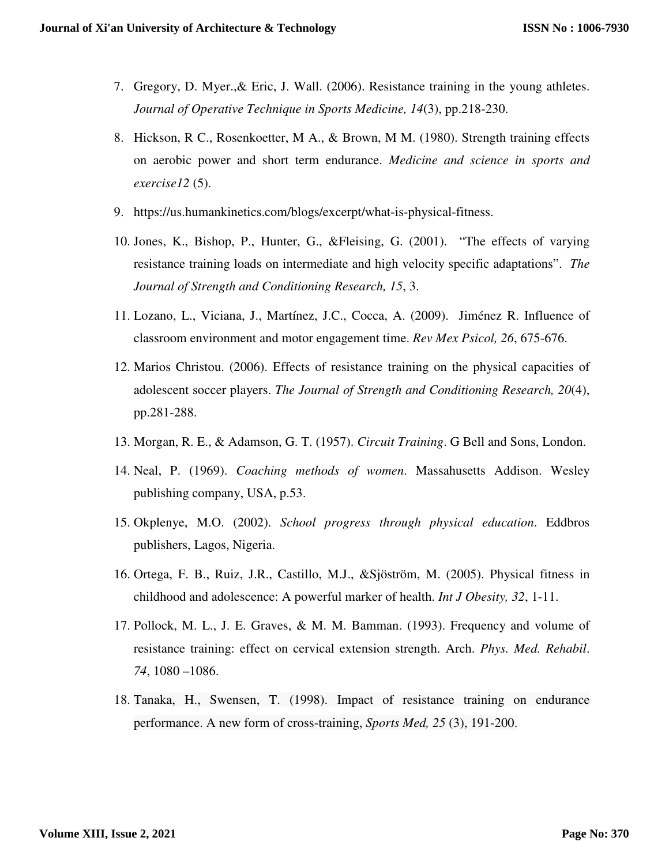- 7. Gregory, D. Myer.,& Eric, J. Wall. (2006). Resistance training in the young athletes. *Journal of Operative Technique in Sports Medicine, 14*(3), pp.218-230.
- 8. Hickson, R C., Rosenkoetter, M A., & Brown, M M. (1980). Strength training effects on aerobic power and short term endurance. *Medicine and science in sports and exercise12* (5).
- 9. https://us.humankinetics.com/blogs/excerpt/what-is-physical-fitness.
- 10. Jones, K., Bishop, P., Hunter, G., &Fleising, G. (2001). "The effects of varying resistance training loads on intermediate and high velocity specific adaptations". *The Journal of Strength and Conditioning Research, 15*, 3.
- 11. Lozano, L., Viciana, J., Martínez, J.C., Cocca, A. (2009). Jiménez R. Influence of classroom environment and motor engagement time. *Rev Mex Psicol, 26*, 675-676.
- 12. Marios Christou. (2006). Effects of resistance training on the physical capacities of adolescent soccer players. *The Journal of Strength and Conditioning Research, 20*(4), pp.281-288.
- 13. Morgan, R. E., & Adamson, G. T. (1957). *Circuit Training*. G Bell and Sons, London.
- 14. Neal, P. (1969). *Coaching methods of women*. Massahusetts Addison. Wesley publishing company, USA, p.53.
- 15. Okplenye, M.O. (2002). *School progress through physical education*. Eddbros publishers, Lagos, Nigeria.
- 16. Ortega, F. B., Ruiz, J.R., Castillo, M.J., &Sjöström, M. (2005). Physical fitness in childhood and adolescence: A powerful marker of health. *Int J Obesity, 32*, 1-11.
- 17. Pollock, M. L., J. E. Graves, & M. M. Bamman. (1993). Frequency and volume of resistance training: effect on cervical extension strength. Arch. *Phys. Med. Rehabil*. *74*, 1080 –1086.
- 18. Tanaka, H., Swensen, T. (1998). Impact of resistance training on endurance performance. A new form of cross-training, *Sports Med, 25* (3), 191-200.